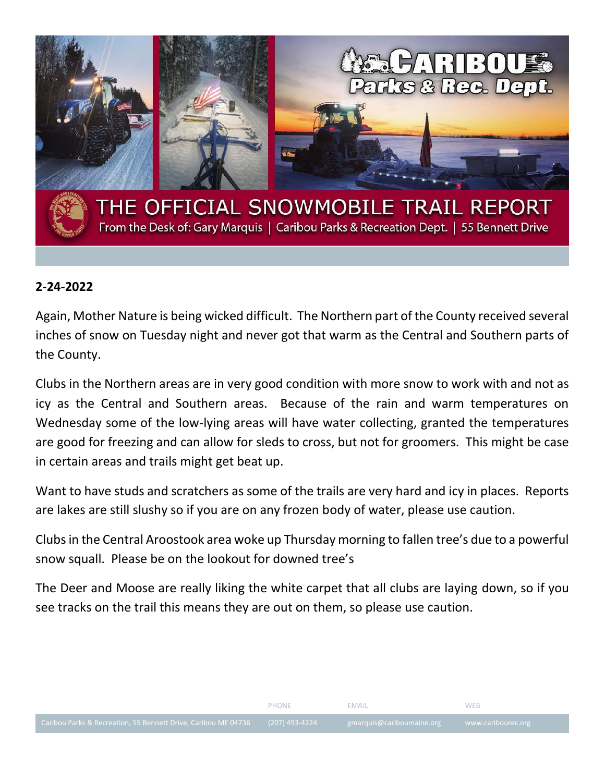

## **2-24-2022**

Again, Mother Nature is being wicked difficult. The Northern part of the County received several inches of snow on Tuesday night and never got that warm as the Central and Southern parts of the County.

Clubs in the Northern areas are in very good condition with more snow to work with and not as icy as the Central and Southern areas. Because of the rain and warm temperatures on Wednesday some of the low-lying areas will have water collecting, granted the temperatures are good for freezing and can allow for sleds to cross, but not for groomers. This might be case in certain areas and trails might get beat up.

Want to have studs and scratchers as some of the trails are very hard and icy in places. Reports are lakes are still slushy so if you are on any frozen body of water, please use caution.

Clubs in the Central Aroostook area woke up Thursday morning to fallen tree's due to a powerful snow squall. Please be on the lookout for downed tree's

The Deer and Moose are really liking the white carpet that all clubs are laying down, so if you see tracks on the trail this means they are out on them, so please use caution.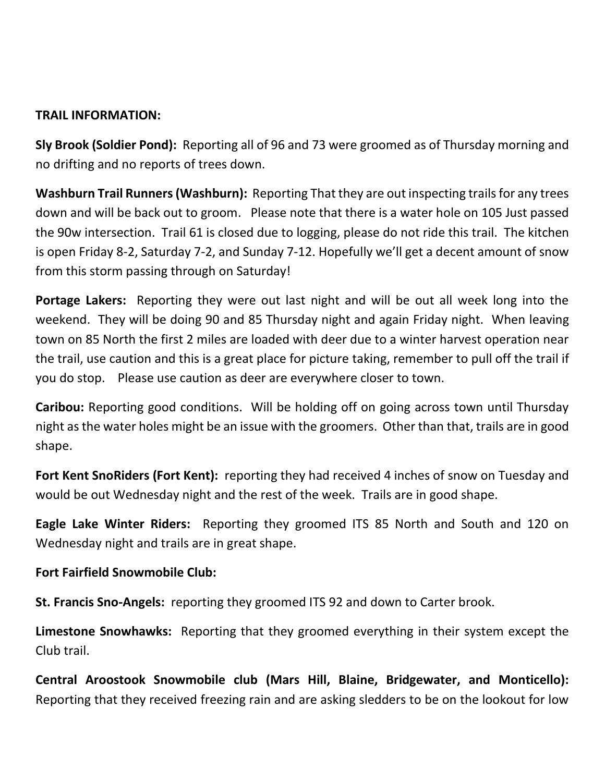# **TRAIL INFORMATION:**

**Sly Brook (Soldier Pond):** Reporting all of 96 and 73 were groomed as of Thursday morning and no drifting and no reports of trees down.

**Washburn Trail Runners (Washburn):** Reporting That they are out inspecting trails for any trees down and will be back out to groom. Please note that there is a water hole on 105 Just passed the 90w intersection. Trail 61 is closed due to logging, please do not ride this trail. The kitchen is open Friday 8-2, Saturday 7-2, and Sunday 7-12. Hopefully we'll get a decent amount of snow from this storm passing through on Saturday!

**Portage Lakers:** Reporting they were out last night and will be out all week long into the weekend. They will be doing 90 and 85 Thursday night and again Friday night. When leaving town on 85 North the first 2 miles are loaded with deer due to a winter harvest operation near the trail, use caution and this is a great place for picture taking, remember to pull off the trail if you do stop. Please use caution as deer are everywhere closer to town.

**Caribou:** Reporting good conditions. Will be holding off on going across town until Thursday night as the water holes might be an issue with the groomers. Other than that, trails are in good shape.

**Fort Kent SnoRiders (Fort Kent):** reporting they had received 4 inches of snow on Tuesday and would be out Wednesday night and the rest of the week. Trails are in good shape.

**Eagle Lake Winter Riders:** Reporting they groomed ITS 85 North and South and 120 on Wednesday night and trails are in great shape.

### **Fort Fairfield Snowmobile Club:**

**St. Francis Sno-Angels:** reporting they groomed ITS 92 and down to Carter brook.

**Limestone Snowhawks:** Reporting that they groomed everything in their system except the Club trail.

**Central Aroostook Snowmobile club (Mars Hill, Blaine, Bridgewater, and Monticello):** Reporting that they received freezing rain and are asking sledders to be on the lookout for low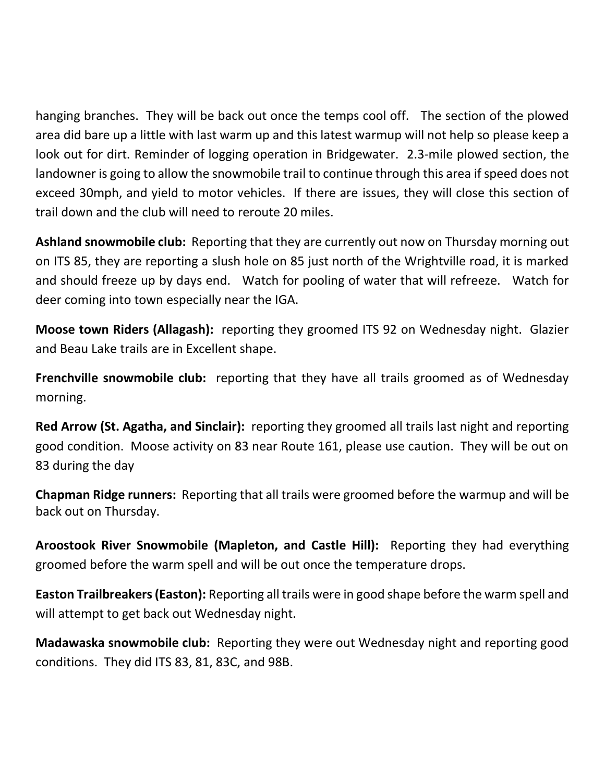hanging branches. They will be back out once the temps cool off. The section of the plowed area did bare up a little with last warm up and this latest warmup will not help so please keep a look out for dirt. Reminder of logging operation in Bridgewater. 2.3-mile plowed section, the landowner is going to allow the snowmobile trail to continue through this area if speed does not exceed 30mph, and yield to motor vehicles. If there are issues, they will close this section of trail down and the club will need to reroute 20 miles.

**Ashland snowmobile club:** Reporting that they are currently out now on Thursday morning out on ITS 85, they are reporting a slush hole on 85 just north of the Wrightville road, it is marked and should freeze up by days end. Watch for pooling of water that will refreeze. Watch for deer coming into town especially near the IGA.

**Moose town Riders (Allagash):** reporting they groomed ITS 92 on Wednesday night. Glazier and Beau Lake trails are in Excellent shape.

**Frenchville snowmobile club:** reporting that they have all trails groomed as of Wednesday morning.

**Red Arrow (St. Agatha, and Sinclair):** reporting they groomed all trails last night and reporting good condition. Moose activity on 83 near Route 161, please use caution. They will be out on 83 during the day

**Chapman Ridge runners:** Reporting that all trails were groomed before the warmup and will be back out on Thursday.

**Aroostook River Snowmobile (Mapleton, and Castle Hill):** Reporting they had everything groomed before the warm spell and will be out once the temperature drops.

**Easton Trailbreakers (Easton):** Reporting all trails were in good shape before the warm spell and will attempt to get back out Wednesday night.

**Madawaska snowmobile club:** Reporting they were out Wednesday night and reporting good conditions. They did ITS 83, 81, 83C, and 98B.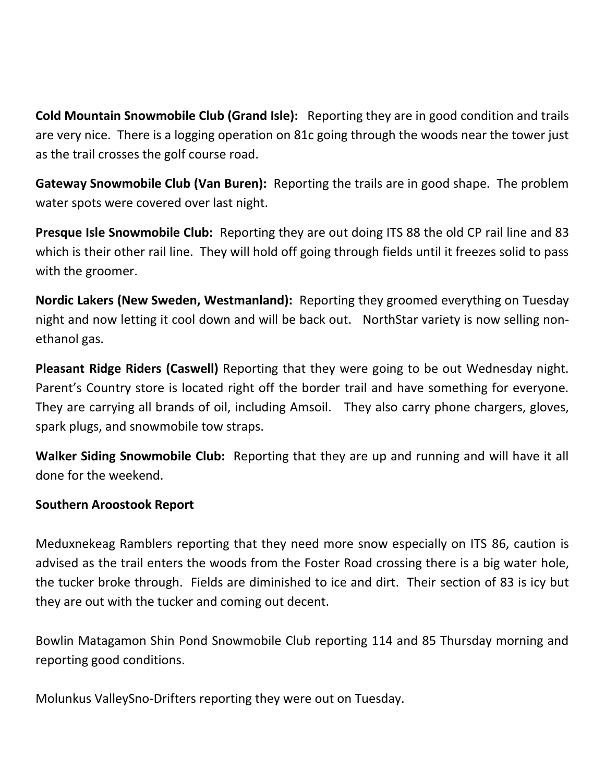**Cold Mountain Snowmobile Club (Grand Isle):** Reporting they are in good condition and trails are very nice. There is a logging operation on 81c going through the woods near the tower just as the trail crosses the golf course road.

**Gateway Snowmobile Club (Van Buren):** Reporting the trails are in good shape. The problem water spots were covered over last night.

**Presque Isle Snowmobile Club:** Reporting they are out doing ITS 88 the old CP rail line and 83 which is their other rail line. They will hold off going through fields until it freezes solid to pass with the groomer.

**Nordic Lakers (New Sweden, Westmanland):** Reporting they groomed everything on Tuesday night and now letting it cool down and will be back out. NorthStar variety is now selling nonethanol gas.

**Pleasant Ridge Riders (Caswell)** Reporting that they were going to be out Wednesday night. Parent's Country store is located right off the border trail and have something for everyone. They are carrying all brands of oil, including Amsoil. They also carry phone chargers, gloves, spark plugs, and snowmobile tow straps.

**Walker Siding Snowmobile Club:** Reporting that they are up and running and will have it all done for the weekend.

### **Southern Aroostook Report**

Meduxnekeag Ramblers reporting that they need more snow especially on ITS 86, caution is advised as the trail enters the woods from the Foster Road crossing there is a big water hole, the tucker broke through. Fields are diminished to ice and dirt. Their section of 83 is icy but they are out with the tucker and coming out decent.

Bowlin Matagamon Shin Pond Snowmobile Club reporting 114 and 85 Thursday morning and reporting good conditions.

Molunkus ValleySno-Drifters reporting they were out on Tuesday.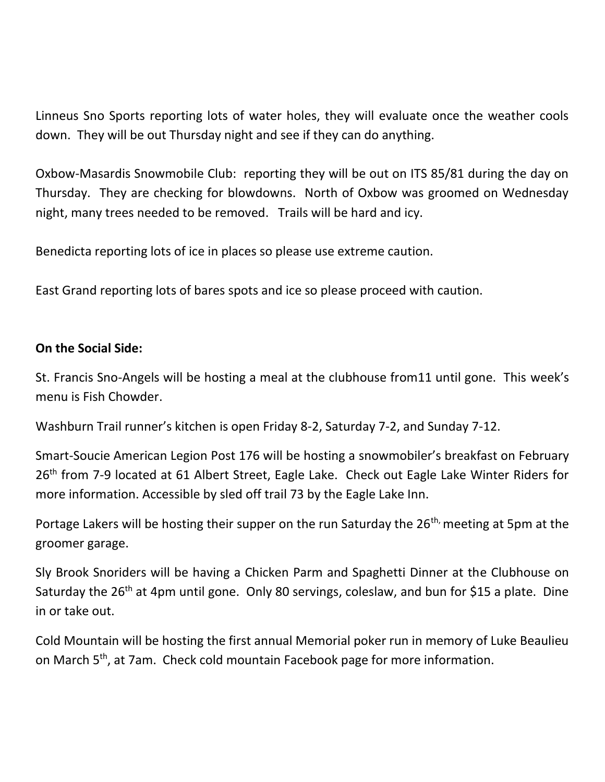Linneus Sno Sports reporting lots of water holes, they will evaluate once the weather cools down. They will be out Thursday night and see if they can do anything.

Oxbow-Masardis Snowmobile Club: reporting they will be out on ITS 85/81 during the day on Thursday. They are checking for blowdowns. North of Oxbow was groomed on Wednesday night, many trees needed to be removed. Trails will be hard and icy.

Benedicta reporting lots of ice in places so please use extreme caution.

East Grand reporting lots of bares spots and ice so please proceed with caution.

#### **On the Social Side:**

St. Francis Sno-Angels will be hosting a meal at the clubhouse from11 until gone. This week's menu is Fish Chowder.

Washburn Trail runner's kitchen is open Friday 8-2, Saturday 7-2, and Sunday 7-12.

Smart-Soucie American Legion Post 176 will be hosting a snowmobiler's breakfast on February 26<sup>th</sup> from 7-9 located at 61 Albert Street, Eagle Lake. Check out Eagle Lake Winter Riders for more information. Accessible by sled off trail 73 by the Eagle Lake Inn.

Portage Lakers will be hosting their supper on the run Saturday the 26<sup>th,</sup> meeting at 5pm at the groomer garage.

Sly Brook Snoriders will be having a Chicken Parm and Spaghetti Dinner at the Clubhouse on Saturday the 26<sup>th</sup> at 4pm until gone. Only 80 servings, coleslaw, and bun for \$15 a plate. Dine in or take out.

Cold Mountain will be hosting the first annual Memorial poker run in memory of Luke Beaulieu on March 5<sup>th</sup>, at 7am. Check cold mountain Facebook page for more information.